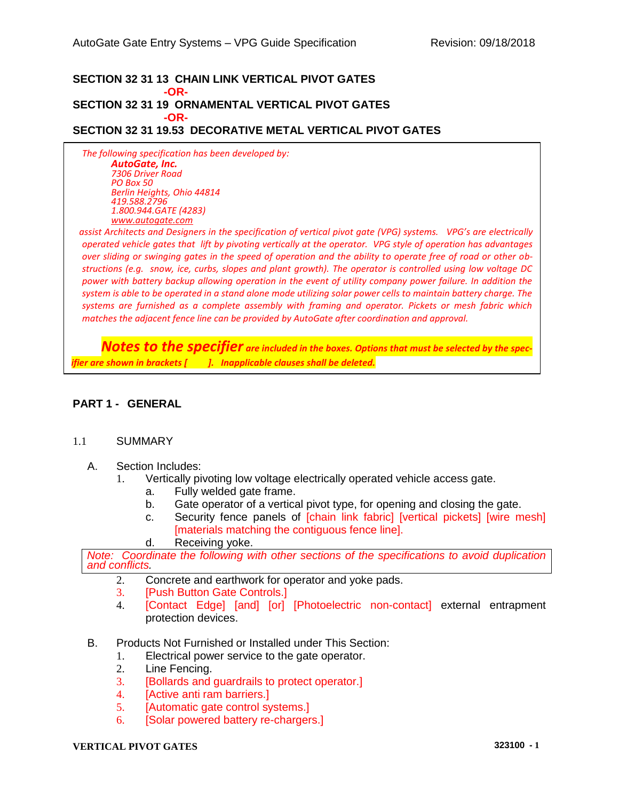#### **SECTION 32 31 13 CHAIN LINK VERTICAL PIVOT GATES -OR-SECTION 32 31 19 ORNAMENTAL VERTICAL PIVOT GATES**

**-OR-**

# **SECTION 32 31 19.53 DECORATIVE METAL VERTICAL PIVOT GATES**

*The following specification has been developed by: AutoGate, Inc. 7306 Driver Road PO Box 50 Berlin Heights, Ohio 44814 419.588.2796 1.800.944.GATE (4283) [www.autogate.com](http://www.autogate.com/)*

*o assist Architects and Designers in the specification of vertical pivot gate (VPG) systems. VPG's are electrically operated vehicle gates that lift by pivoting vertically at the operator. VPG style of operation has advantages over sliding or swinging gates in the speed of operation and the ability to operate free of road or other obstructions (e.g. snow, ice, curbs, slopes and plant growth). The operator is controlled using low voltage DC power with battery backup allowing operation in the event of utility company power failure. In addition the system is able to be operated in a stand alone mode utilizing solar power cells to maintain battery charge. The systems are furnished as a complete assembly with framing and operator. Pickets or mesh fabric which matches the adjacent fence line can be provided by AutoGate after coordination and approval.*

 *Notes to the specifier are included in the boxes. Options that must be selected by the specifier are shown in brackets [ ]. Inapplicable clauses shall be deleted.*

# **PART 1 - GENERAL**

#### 1.1 SUMMARY

- A. Section Includes:
	- 1. Vertically pivoting low voltage electrically operated vehicle access gate.
		- a. Fully welded gate frame.
		- b. Gate operator of a vertical pivot type, for opening and closing the gate.
		- c. Security fence panels of [chain link fabric] [vertical pickets] [wire mesh] [materials matching the contiguous fence line].
		- d. Receiving yoke.

*Note: Coordinate the following with other sections of the specifications to avoid duplication and conflicts.*

- 2. Concrete and earthwork for operator and yoke pads.
- 3. [Push Button Gate Controls.]
- 4. [Contact Edge] [and] [or] [Photoelectric non-contact] external entrapment protection devices.
- B. Products Not Furnished or Installed under This Section:
	- 1. Electrical power service to the gate operator.
	- 2. Line Fencing.
	- 3. [Bollards and guardrails to protect operator.]
	- 4. [Active anti ram barriers.]
	- 5. [Automatic gate control systems.]
	- 6. [Solar powered battery re-chargers.]

### **VERTICAL PIVOT GATES 323100 - 1**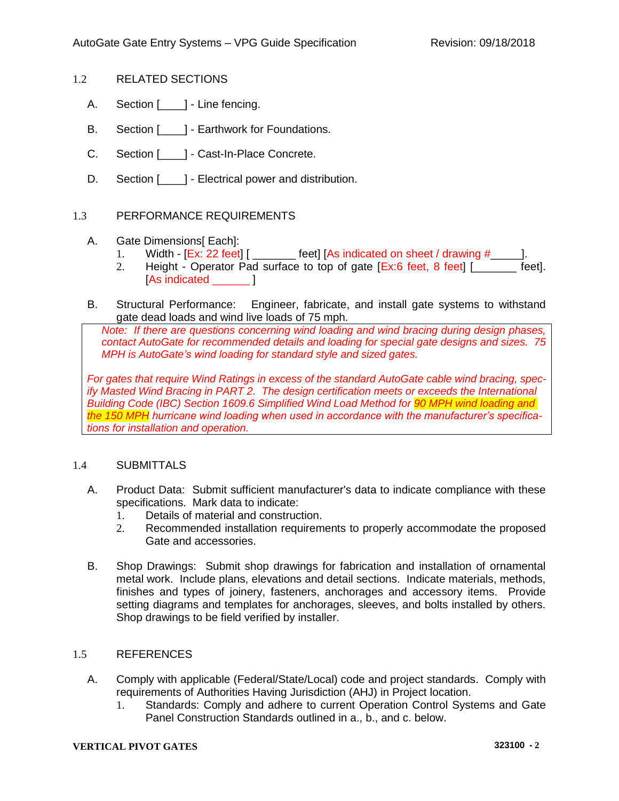- 1.2 RELATED SECTIONS
	- A. Section [  $\Box$ ] Line fencing.
	- B. Section [ ] Earthwork for Foundations.
	- C. Section [ ] Cast-In-Place Concrete.
	- D. Section [  $\blacksquare$  ] Electrical power and distribution.

# 1.3 PERFORMANCE REQUIREMENTS

- A. Gate Dimensions [ Each]:
	- 1. Width  $[Ex: 22 \text{ feet}]$   $[\_$  [eet] [As indicated on sheet / drawing  $\#$  [10].
	- 2. Height Operator Pad surface to top of gate [Ex:6 feet, 8 feet] [ \_\_\_\_\_\_ feet]. [As indicated  $\qquad$  ]
- B. Structural Performance: Engineer, fabricate, and install gate systems to withstand gate dead loads and wind live loads of 75 mph.

*Note: If there are questions concerning wind loading and wind bracing during design phases, contact AutoGate for recommended details and loading for special gate designs and sizes. 75 MPH is AutoGate's wind loading for standard style and sized gates.*

*For gates that require Wind Ratings in excess of the standard AutoGate cable wind bracing, specify Masted Wind Bracing in PART 2. The design certification meets or exceeds the International Building Code (IBC) Section 1609.6 Simplified Wind Load Method for 90 MPH wind loading and the 150 MPH hurricane wind loading when used in accordance with the manufacturer's specifications for installation and operation.*

### 1.4 SUBMITTALS

- A. Product Data: Submit sufficient manufacturer's data to indicate compliance with these specifications. Mark data to indicate:
	- 1. Details of material and construction.
	- 2. Recommended installation requirements to properly accommodate the proposed Gate and accessories.
- B. Shop Drawings: Submit shop drawings for fabrication and installation of ornamental metal work. Include plans, elevations and detail sections. Indicate materials, methods, finishes and types of joinery, fasteners, anchorages and accessory items. Provide setting diagrams and templates for anchorages, sleeves, and bolts installed by others. Shop drawings to be field verified by installer.

### 1.5 REFERENCES

- A. Comply with applicable (Federal/State/Local) code and project standards. Comply with requirements of Authorities Having Jurisdiction (AHJ) in Project location.
	- 1. Standards: Comply and adhere to current Operation Control Systems and Gate Panel Construction Standards outlined in a., b., and c. below.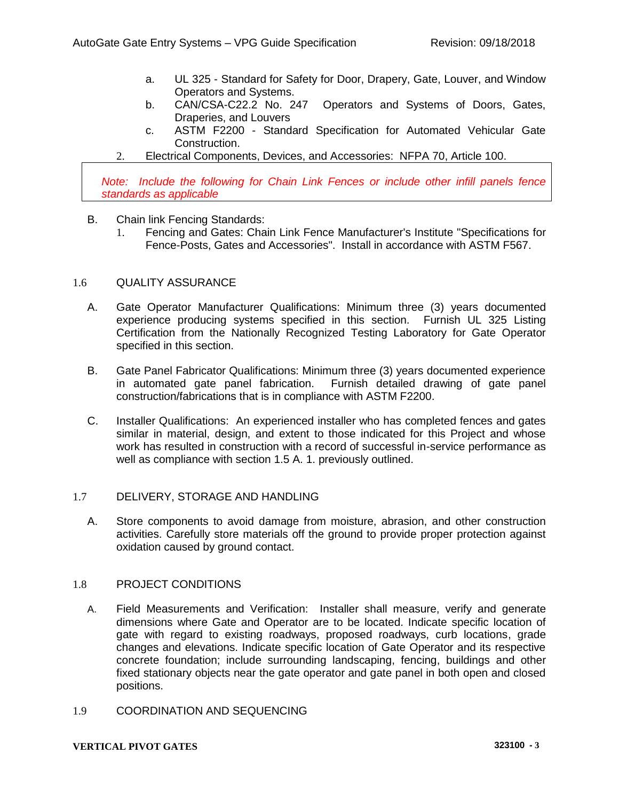- a. UL 325 Standard for Safety for Door, Drapery, Gate, Louver, and Window Operators and Systems.
- b. CAN/CSA-C22.2 No. 247 Operators and Systems of Doors, Gates, Draperies, and Louvers
- c. ASTM F2200 Standard Specification for Automated Vehicular Gate Construction.
- 2. Electrical Components, Devices, and Accessories: NFPA 70, Article 100.

*Note: Include the following for Chain Link Fences or include other infill panels fence standards as applicable*

- B. Chain link Fencing Standards:
	- 1. Fencing and Gates: Chain Link Fence Manufacturer's Institute "Specifications for Fence-Posts, Gates and Accessories". Install in accordance with ASTM F567.

### 1.6 QUALITY ASSURANCE

- A. Gate Operator Manufacturer Qualifications: Minimum three (3) years documented experience producing systems specified in this section. Furnish UL 325 Listing Certification from the Nationally Recognized Testing Laboratory for Gate Operator specified in this section.
- B. Gate Panel Fabricator Qualifications: Minimum three (3) years documented experience in automated gate panel fabrication. Furnish detailed drawing of gate panel construction/fabrications that is in compliance with ASTM F2200.
- C. Installer Qualifications: An experienced installer who has completed fences and gates similar in material, design, and extent to those indicated for this Project and whose work has resulted in construction with a record of successful in-service performance as well as compliance with section 1.5 A. 1. previously outlined.

# 1.7 DELIVERY, STORAGE AND HANDLING

A. Store components to avoid damage from moisture, abrasion, and other construction activities. Carefully store materials off the ground to provide proper protection against oxidation caused by ground contact.

# 1.8 PROJECT CONDITIONS

- A. Field Measurements and Verification: Installer shall measure, verify and generate dimensions where Gate and Operator are to be located. Indicate specific location of gate with regard to existing roadways, proposed roadways, curb locations, grade changes and elevations. Indicate specific location of Gate Operator and its respective concrete foundation; include surrounding landscaping, fencing, buildings and other fixed stationary objects near the gate operator and gate panel in both open and closed positions.
- 1.9 COORDINATION AND SEQUENCING

#### **VERTICAL PIVOT GATES 323100 - 3**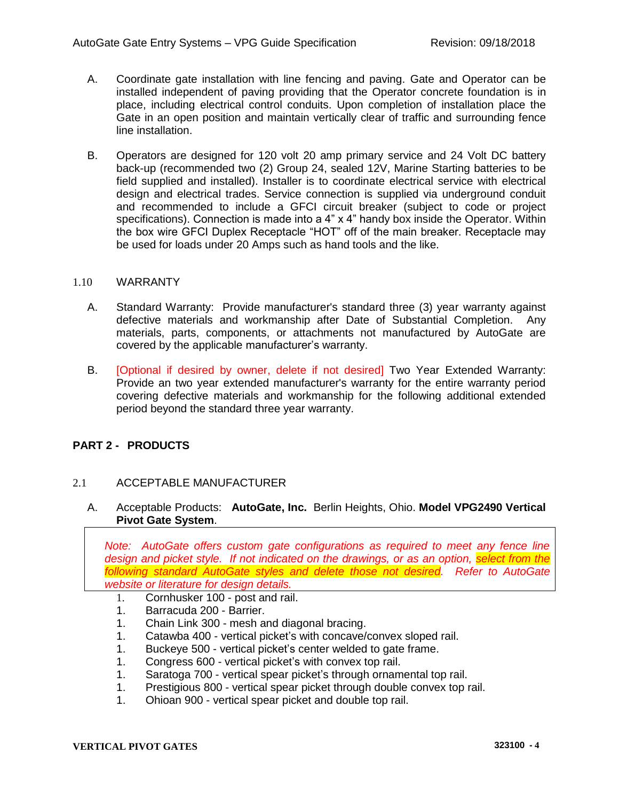- A. Coordinate gate installation with line fencing and paving. Gate and Operator can be installed independent of paving providing that the Operator concrete foundation is in place, including electrical control conduits. Upon completion of installation place the Gate in an open position and maintain vertically clear of traffic and surrounding fence line installation.
- B. Operators are designed for 120 volt 20 amp primary service and 24 Volt DC battery back-up (recommended two (2) Group 24, sealed 12V, Marine Starting batteries to be field supplied and installed). Installer is to coordinate electrical service with electrical design and electrical trades. Service connection is supplied via underground conduit and recommended to include a GFCI circuit breaker (subject to code or project specifications). Connection is made into a 4" x 4" handy box inside the Operator. Within the box wire GFCI Duplex Receptacle "HOT" off of the main breaker. Receptacle may be used for loads under 20 Amps such as hand tools and the like.

# 1.10 WARRANTY

- A. Standard Warranty: Provide manufacturer's standard three (3) year warranty against defective materials and workmanship after Date of Substantial Completion. Any materials, parts, components, or attachments not manufactured by AutoGate are covered by the applicable manufacturer's warranty.
- B. [Optional if desired by owner, delete if not desired] Two Year Extended Warranty: Provide an two year extended manufacturer's warranty for the entire warranty period covering defective materials and workmanship for the following additional extended period beyond the standard three year warranty.

# **PART 2 - PRODUCTS**

# 2.1 ACCEPTABLE MANUFACTURER

A. Acceptable Products: **AutoGate, Inc.** Berlin Heights, Ohio. **Model VPG2490 Vertical Pivot Gate System**.

*Note: AutoGate offers custom gate configurations as required to meet any fence line design and picket style. If not indicated on the drawings, or as an option, select from the following standard AutoGate styles and delete those not desired. Refer to AutoGate website or literature for design details.*

- 1. Cornhusker 100 post and rail.
- 1. Barracuda 200 Barrier.
- 1. Chain Link 300 mesh and diagonal bracing.
- 1. Catawba 400 vertical picket's with concave/convex sloped rail.
- 1. Buckeye 500 vertical picket's center welded to gate frame.
- 1. Congress 600 vertical picket's with convex top rail.
- 1. Saratoga 700 vertical spear picket's through ornamental top rail.
- 1. Prestigious 800 vertical spear picket through double convex top rail.
- 1. Ohioan 900 vertical spear picket and double top rail.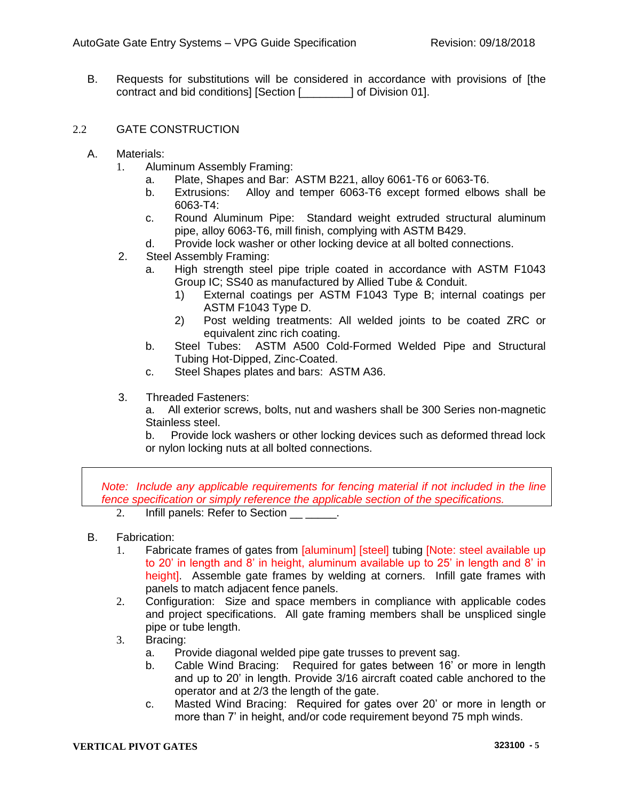B. Requests for substitutions will be considered in accordance with provisions of [the contract and bid conditions] [Section [\_\_\_\_\_\_\_\_] of Division 01].

# 2.2 GATE CONSTRUCTION

- A. Materials:
	- 1. Aluminum Assembly Framing:
		- a. Plate, Shapes and Bar: ASTM B221, alloy 6061-T6 or 6063-T6.
		- b. Extrusions: Alloy and temper 6063-T6 except formed elbows shall be 6063-T4:
		- c. Round Aluminum Pipe: Standard weight extruded structural aluminum pipe, alloy 6063-T6, mill finish, complying with ASTM B429.
		- d. Provide lock washer or other locking device at all bolted connections.
	- 2. Steel Assembly Framing:
		- a. High strength steel pipe triple coated in accordance with ASTM F1043 Group IC; SS40 as manufactured by Allied Tube & Conduit.
			- 1) External coatings per ASTM F1043 Type B; internal coatings per ASTM F1043 Type D.
			- 2) Post welding treatments: All welded joints to be coated ZRC or equivalent zinc rich coating.
		- b. Steel Tubes: ASTM A500 Cold-Formed Welded Pipe and Structural Tubing Hot-Dipped, Zinc-Coated.
		- c. Steel Shapes plates and bars: ASTM A36.
	- 3. Threaded Fasteners:

a. All exterior screws, bolts, nut and washers shall be 300 Series non-magnetic Stainless steel.

b. Provide lock washers or other locking devices such as deformed thread lock or nylon locking nuts at all bolted connections.

*Note: Include any applicable requirements for fencing material if not included in the line fence specification or simply reference the applicable section of the specifications.*

- 2. Infill panels: Refer to Section .
- B. Fabrication:
	- 1. Fabricate frames of gates from [aluminum] [steel] tubing [Note: steel available up to 20' in length and 8' in height, aluminum available up to 25' in length and 8' in height]. Assemble gate frames by welding at corners. Infill gate frames with panels to match adjacent fence panels.
	- 2. Configuration: Size and space members in compliance with applicable codes and project specifications. All gate framing members shall be unspliced single pipe or tube length.
	- 3. Bracing:
		- a. Provide diagonal welded pipe gate trusses to prevent sag.
		- b. Cable Wind Bracing: Required for gates between 16' or more in length and up to 20' in length. Provide 3/16 aircraft coated cable anchored to the operator and at 2/3 the length of the gate.
		- c. Masted Wind Bracing: Required for gates over 20' or more in length or more than 7' in height, and/or code requirement beyond 75 mph winds.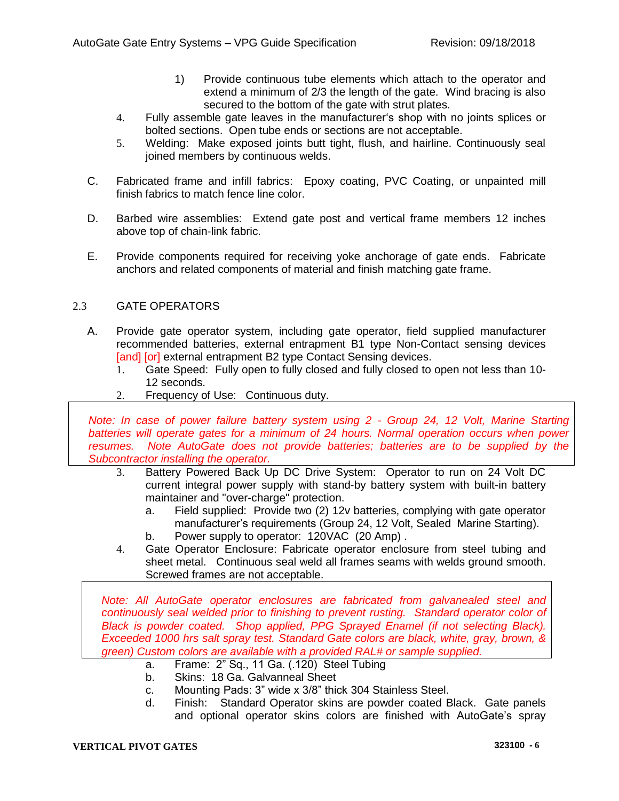- 1) Provide continuous tube elements which attach to the operator and extend a minimum of 2/3 the length of the gate. Wind bracing is also secured to the bottom of the gate with strut plates.
- 4. Fully assemble gate leaves in the manufacturer's shop with no joints splices or bolted sections. Open tube ends or sections are not acceptable.
- 5. Welding: Make exposed joints butt tight, flush, and hairline. Continuously seal joined members by continuous welds.
- C. Fabricated frame and infill fabrics: Epoxy coating, PVC Coating, or unpainted mill finish fabrics to match fence line color.
- D. Barbed wire assemblies: Extend gate post and vertical frame members 12 inches above top of chain-link fabric.
- E. Provide components required for receiving yoke anchorage of gate ends. Fabricate anchors and related components of material and finish matching gate frame.

# 2.3 GATE OPERATORS

- A. Provide gate operator system, including gate operator, field supplied manufacturer recommended batteries, external entrapment B1 type Non-Contact sensing devices [and] [or] external entrapment B2 type Contact Sensing devices.
	- 1. Gate Speed: Fully open to fully closed and fully closed to open not less than 10- 12 seconds.
	- 2. Frequency of Use: Continuous duty.

*Note: In case of power failure battery system using 2 - Group 24, 12 Volt, Marine Starting batteries will operate gates for a minimum of 24 hours. Normal operation occurs when power resumes. Note AutoGate does not provide batteries; batteries are to be supplied by the Subcontractor installing the operator.* 

- 3. Battery Powered Back Up DC Drive System: Operator to run on 24 Volt DC current integral power supply with stand-by battery system with built-in battery maintainer and "over-charge" protection.
	- a. Field supplied: Provide two (2) 12v batteries, complying with gate operator manufacturer's requirements (Group 24, 12 Volt, Sealed Marine Starting).
	- b. Power supply to operator: 120VAC (20 Amp) .
- 4. Gate Operator Enclosure: Fabricate operator enclosure from steel tubing and sheet metal. Continuous seal weld all frames seams with welds ground smooth. Screwed frames are not acceptable.

*Note: All AutoGate operator enclosures are fabricated from galvanealed steel and continuously seal welded prior to finishing to prevent rusting. Standard operator color of Black is powder coated. Shop applied, PPG Sprayed Enamel (if not selecting Black). Exceeded 1000 hrs salt spray test. Standard Gate colors are black, white, gray, brown, & green) Custom colors are available with a provided RAL# or sample supplied.*

- a. Frame: 2" Sq., 11 Ga. (.120) Steel Tubing
- b. Skins: 18 Ga. Galvanneal Sheet
- c. Mounting Pads: 3" wide x 3/8" thick 304 Stainless Steel.
- d. Finish: Standard Operator skins are powder coated Black. Gate panels and optional operator skins colors are finished with AutoGate's spray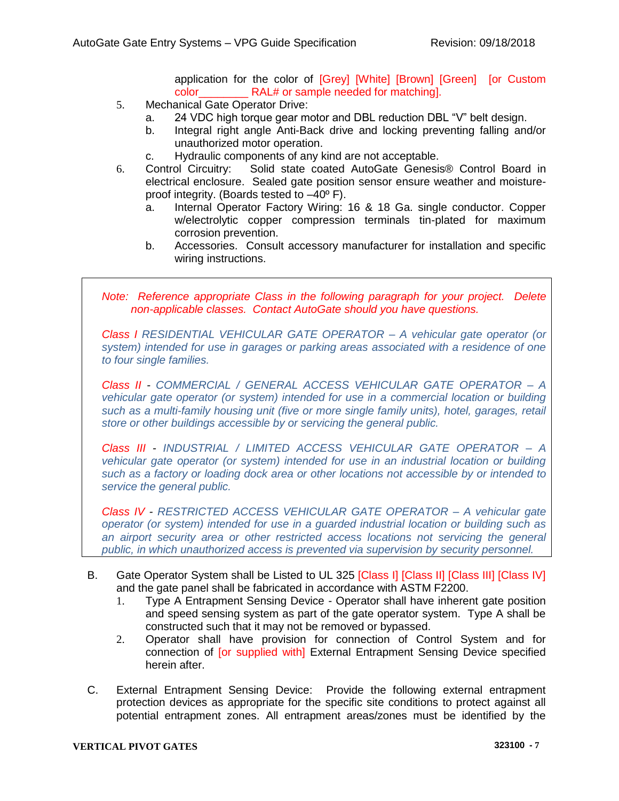application for the color of [Grey] [White] [Brown] [Green] [or Custom color\_\_\_\_\_\_\_\_ RAL# or sample needed for matching].

- 5. Mechanical Gate Operator Drive:
	- a. 24 VDC high torque gear motor and DBL reduction DBL "V" belt design.
	- b. Integral right angle Anti-Back drive and locking preventing falling and/or unauthorized motor operation.
	- c. Hydraulic components of any kind are not acceptable.
- 6. Control Circuitry: Solid state coated AutoGate Genesis® Control Board in electrical enclosure. Sealed gate position sensor ensure weather and moistureproof integrity. (Boards tested to –40º F).
	- a. Internal Operator Factory Wiring: 16 & 18 Ga. single conductor. Copper w/electrolytic copper compression terminals tin-plated for maximum corrosion prevention.
	- b. Accessories. Consult accessory manufacturer for installation and specific wiring instructions.

*Note: Reference appropriate Class in the following paragraph for your project. Delete non-applicable classes. Contact AutoGate should you have questions.*

*Class I RESIDENTIAL VEHICULAR GATE OPERATOR – A vehicular gate operator (or system) intended for use in garages or parking areas associated with a residence of one to four single families.*

*Class II - COMMERCIAL / GENERAL ACCESS VEHICULAR GATE OPERATOR – A vehicular gate operator (or system) intended for use in a commercial location or building such as a multi-family housing unit (five or more single family units), hotel, garages, retail store or other buildings accessible by or servicing the general public.*

*Class III - INDUSTRIAL / LIMITED ACCESS VEHICULAR GATE OPERATOR – A vehicular gate operator (or system) intended for use in an industrial location or building such as a factory or loading dock area or other locations not accessible by or intended to service the general public.*

*Class IV - RESTRICTED ACCESS VEHICULAR GATE OPERATOR – A vehicular gate operator (or system) intended for use in a guarded industrial location or building such as an airport security area or other restricted access locations not servicing the general public, in which unauthorized access is prevented via supervision by security personnel.*

- B. Gate Operator System shall be Listed to UL 325 [Class I] [Class II] [Class III] [Class IV] and the gate panel shall be fabricated in accordance with ASTM F2200.
	- 1. Type A Entrapment Sensing Device Operator shall have inherent gate position and speed sensing system as part of the gate operator system. Type A shall be constructed such that it may not be removed or bypassed.
	- 2. Operator shall have provision for connection of Control System and for connection of [or supplied with] External Entrapment Sensing Device specified herein after.
- C. External Entrapment Sensing Device: Provide the following external entrapment protection devices as appropriate for the specific site conditions to protect against all potential entrapment zones. All entrapment areas/zones must be identified by the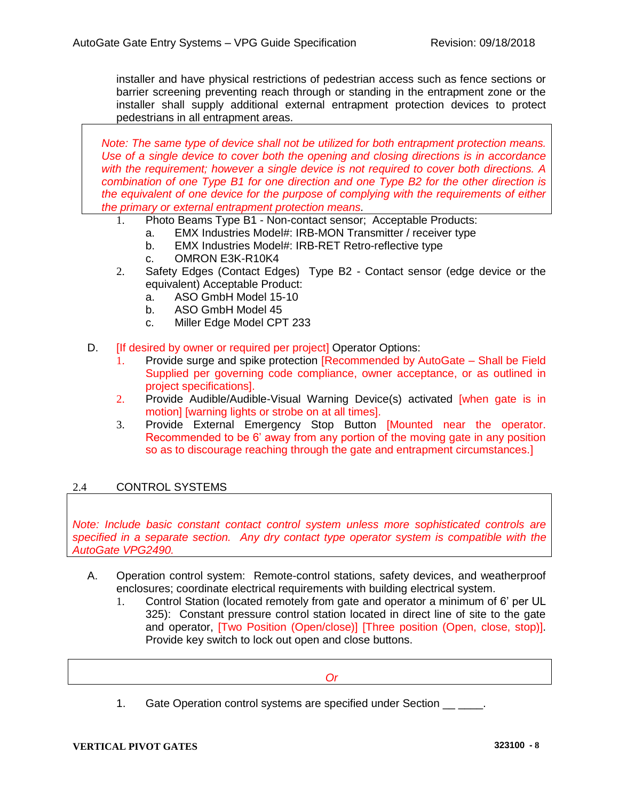installer and have physical restrictions of pedestrian access such as fence sections or barrier screening preventing reach through or standing in the entrapment zone or the installer shall supply additional external entrapment protection devices to protect pedestrians in all entrapment areas.

*Note: The same type of device shall not be utilized for both entrapment protection means. Use of a single device to cover both the opening and closing directions is in accordance with the requirement; however a single device is not required to cover both directions. A combination of one Type B1 for one direction and one Type B2 for the other direction is the equivalent of one device for the purpose of complying with the requirements of either the primary or external entrapment protection means.*

- 1. Photo Beams Type B1 Non-contact sensor; Acceptable Products:
	- a. EMX Industries Model#: IRB-MON Transmitter / receiver type
	- b. EMX Industries Model#: IRB-RET Retro-reflective type
	- c. OMRON E3K-R10K4
- 2. Safety Edges (Contact Edges) Type B2 Contact sensor (edge device or the equivalent) Acceptable Product:
	- a. ASO GmbH Model 15-10
	- b. ASO GmbH Model 45
	- c. Miller Edge Model CPT 233
- D. **If desired by owner or required per project** Operator Options:
	- 1. Provide surge and spike protection [Recommended by AutoGate Shall be Field Supplied per governing code compliance, owner acceptance, or as outlined in project specifications].
	- 2. Provide Audible/Audible-Visual Warning Device(s) activated [when gate is in motion] [warning lights or strobe on at all times].
	- 3. Provide External Emergency Stop Button [Mounted near the operator. Recommended to be 6' away from any portion of the moving gate in any position so as to discourage reaching through the gate and entrapment circumstances.]

# 2.4 CONTROL SYSTEMS

*Note: Include basic constant contact control system unless more sophisticated controls are specified in a separate section. Any dry contact type operator system is compatible with the AutoGate VPG2490.*

- A. Operation control system: Remote-control stations, safety devices, and weatherproof enclosures; coordinate electrical requirements with building electrical system.
	- 1. Control Station (located remotely from gate and operator a minimum of 6' per UL 325): Constant pressure control station located in direct line of site to the gate and operator, [Two Position (Open/close)] [Three position (Open, close, stop)]. Provide key switch to lock out open and close buttons.

*Or*

1. Gate Operation control systems are specified under Section  $\qquad \qquad$ .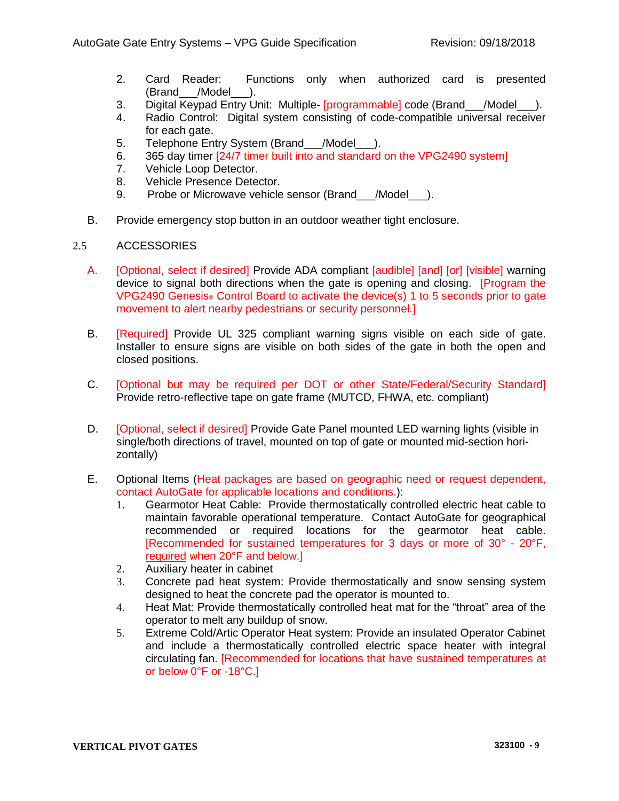- 2. Card Reader: Functions only when authorized card is presented (Brand /Model ).
- 3. Digital Keypad Entry Unit: Multiple- [programmable] code (Brand\_\_\_/Model\_\_\_).
- 4. Radio Control: Digital system consisting of code-compatible universal receiver for each gate.
- 5. Telephone Entry System (Brand /Model).
- 6. 365 day timer [24/7 timer built into and standard on the VPG2490 system]
- 7. Vehicle Loop Detector.
- 8. Vehicle Presence Detector.
- 9. Probe or Microwave vehicle sensor (Brand /Model).
- B. Provide emergency stop button in an outdoor weather tight enclosure.

# 2.5 ACCESSORIES

- A. [Optional, select if desired] Provide ADA compliant [audible] [and] [or] [visible] warning device to signal both directions when the gate is opening and closing. [Program the VPG2490 Genesis® Control Board to activate the device(s) 1 to 5 seconds prior to gate movement to alert nearby pedestrians or security personnel.]
- B. [Required] Provide UL 325 compliant warning signs visible on each side of gate. Installer to ensure signs are visible on both sides of the gate in both the open and closed positions.
- C. [Optional but may be required per DOT or other State/Federal/Security Standard] Provide retro-reflective tape on gate frame (MUTCD, FHWA, etc. compliant)
- D. **[Optional, select if desired] Provide Gate Panel mounted LED warning lights (visible in** single/both directions of travel, mounted on top of gate or mounted mid-section horizontally)
- E. Optional Items (Heat packages are based on geographic need or request dependent, contact AutoGate for applicable locations and conditions.):
	- 1. Gearmotor Heat Cable: Provide thermostatically controlled electric heat cable to maintain favorable operational temperature. Contact AutoGate for geographical recommended or required locations for the gearmotor heat cable. [Recommended for sustained temperatures for 3 days or more of 30° - 20°F, required when 20°F and below.]
	- 2. Auxiliary heater in cabinet
	- 3. Concrete pad heat system: Provide thermostatically and snow sensing system designed to heat the concrete pad the operator is mounted to.
	- 4. Heat Mat: Provide thermostatically controlled heat mat for the "throat" area of the operator to melt any buildup of snow.
	- 5. Extreme Cold/Artic Operator Heat system: Provide an insulated Operator Cabinet and include a thermostatically controlled electric space heater with integral circulating fan. [Recommended for locations that have sustained temperatures at or below 0°F or -18°C.]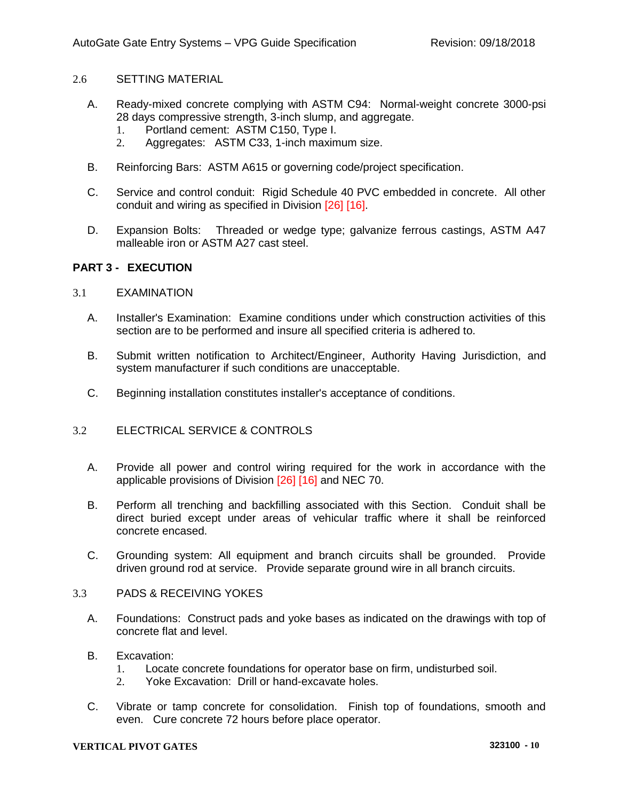# 2.6 SETTING MATERIAL

- A. Ready-mixed concrete complying with ASTM C94: Normal-weight concrete 3000-psi 28 days compressive strength, 3-inch slump, and aggregate.
	- 1. Portland cement: ASTM C150, Type I.
	- 2. Aggregates: ASTM C33, 1-inch maximum size.
- B. Reinforcing Bars: ASTM A615 or governing code/project specification.
- C. Service and control conduit: Rigid Schedule 40 PVC embedded in concrete. All other conduit and wiring as specified in Division [26] [16].
- D. Expansion Bolts: Threaded or wedge type; galvanize ferrous castings, ASTM A47 malleable iron or ASTM A27 cast steel.

# **PART 3 - EXECUTION**

# 3.1 EXAMINATION

- A. Installer's Examination: Examine conditions under which construction activities of this section are to be performed and insure all specified criteria is adhered to.
- B. Submit written notification to Architect/Engineer, Authority Having Jurisdiction, and system manufacturer if such conditions are unacceptable.
- C. Beginning installation constitutes installer's acceptance of conditions.

# 3.2 ELECTRICAL SERVICE & CONTROLS

- A. Provide all power and control wiring required for the work in accordance with the applicable provisions of Division [26] [16] and NEC 70.
- B. Perform all trenching and backfilling associated with this Section. Conduit shall be direct buried except under areas of vehicular traffic where it shall be reinforced concrete encased.
- C. Grounding system: All equipment and branch circuits shall be grounded. Provide driven ground rod at service. Provide separate ground wire in all branch circuits.
- 3.3 PADS & RECEIVING YOKES
	- A. Foundations: Construct pads and yoke bases as indicated on the drawings with top of concrete flat and level.
	- B. Excavation:
		- 1. Locate concrete foundations for operator base on firm, undisturbed soil.
		- 2. Yoke Excavation: Drill or hand-excavate holes.
	- C. Vibrate or tamp concrete for consolidation. Finish top of foundations, smooth and even. Cure concrete 72 hours before place operator.

### **VERTICAL PIVOT GATES 323100 - 10**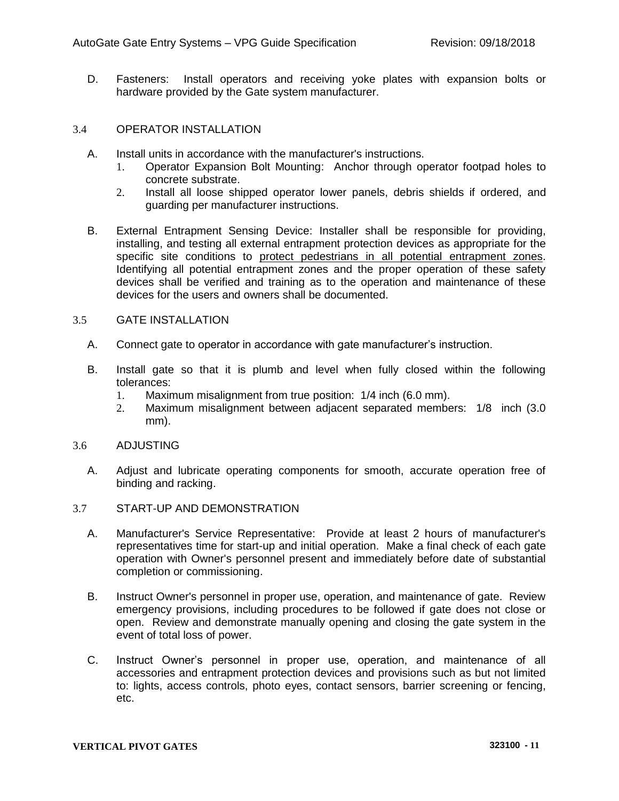D. Fasteners: Install operators and receiving yoke plates with expansion bolts or hardware provided by the Gate system manufacturer.

## 3.4 OPERATOR INSTALLATION

- A. Install units in accordance with the manufacturer's instructions.
	- 1. Operator Expansion Bolt Mounting: Anchor through operator footpad holes to concrete substrate.
	- 2. Install all loose shipped operator lower panels, debris shields if ordered, and guarding per manufacturer instructions.
- B. External Entrapment Sensing Device: Installer shall be responsible for providing, installing, and testing all external entrapment protection devices as appropriate for the specific site conditions to protect pedestrians in all potential entrapment zones. Identifying all potential entrapment zones and the proper operation of these safety devices shall be verified and training as to the operation and maintenance of these devices for the users and owners shall be documented.

# 3.5 GATE INSTALLATION

- A. Connect gate to operator in accordance with gate manufacturer's instruction.
- B. Install gate so that it is plumb and level when fully closed within the following tolerances:
	- 1. Maximum misalignment from true position: 1/4 inch (6.0 mm).
	- 2. Maximum misalignment between adjacent separated members: 1/8 inch (3.0 mm).

#### 3.6 ADJUSTING

A. Adjust and lubricate operating components for smooth, accurate operation free of binding and racking.

### 3.7 START-UP AND DEMONSTRATION

- A. Manufacturer's Service Representative: Provide at least 2 hours of manufacturer's representatives time for start-up and initial operation. Make a final check of each gate operation with Owner's personnel present and immediately before date of substantial completion or commissioning.
- B. Instruct Owner's personnel in proper use, operation, and maintenance of gate. Review emergency provisions, including procedures to be followed if gate does not close or open. Review and demonstrate manually opening and closing the gate system in the event of total loss of power.
- C. Instruct Owner's personnel in proper use, operation, and maintenance of all accessories and entrapment protection devices and provisions such as but not limited to: lights, access controls, photo eyes, contact sensors, barrier screening or fencing, etc.